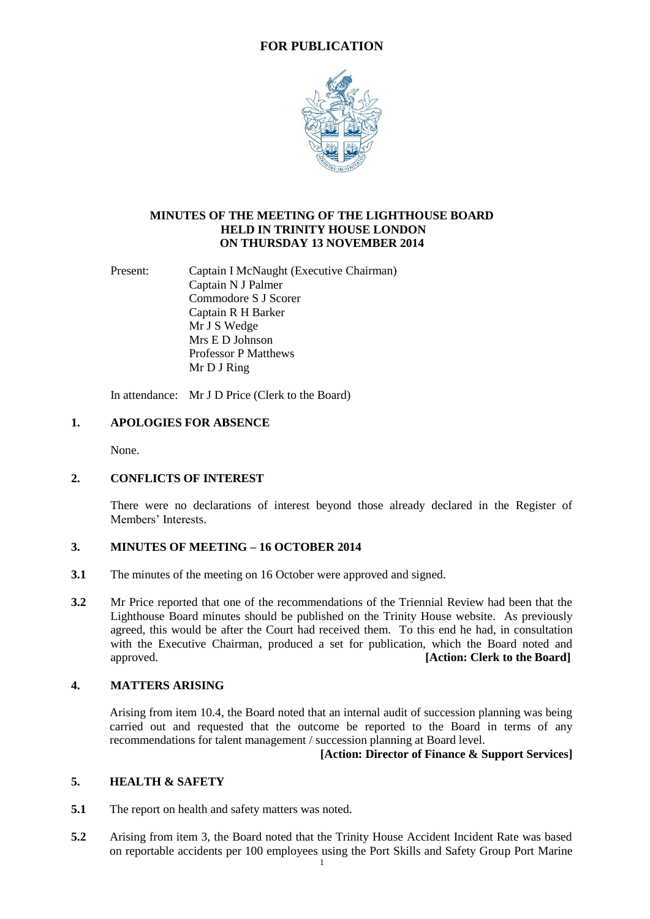

### **MINUTES OF THE MEETING OF THE LIGHTHOUSE BOARD HELD IN TRINITY HOUSE LONDON ON THURSDAY 13 NOVEMBER 2014**

Present: Captain I McNaught (Executive Chairman) Captain N J Palmer Commodore S J Scorer Captain R H Barker Mr J S Wedge Mrs E D Johnson Professor P Matthews Mr D J Ring

In attendance: Mr J D Price (Clerk to the Board)

## **1. APOLOGIES FOR ABSENCE**

None.

### **2. CONFLICTS OF INTEREST**

There were no declarations of interest beyond those already declared in the Register of Members' Interests.

### **3. MINUTES OF MEETING – 16 OCTOBER 2014**

- **3.1** The minutes of the meeting on 16 October were approved and signed.
- **3.2** Mr Price reported that one of the recommendations of the Triennial Review had been that the Lighthouse Board minutes should be published on the Trinity House website. As previously agreed, this would be after the Court had received them. To this end he had, in consultation with the Executive Chairman, produced a set for publication, which the Board noted and approved. **[Action: Clerk to the Board]**

### **4. MATTERS ARISING**

Arising from item 10.4, the Board noted that an internal audit of succession planning was being carried out and requested that the outcome be reported to the Board in terms of any recommendations for talent management / succession planning at Board level.

### **[Action: Director of Finance & Support Services]**

### **5. HEALTH & SAFETY**

- **5.1** The report on health and safety matters was noted.
- **5.2** Arising from item 3, the Board noted that the Trinity House Accident Incident Rate was based on reportable accidents per 100 employees using the Port Skills and Safety Group Port Marine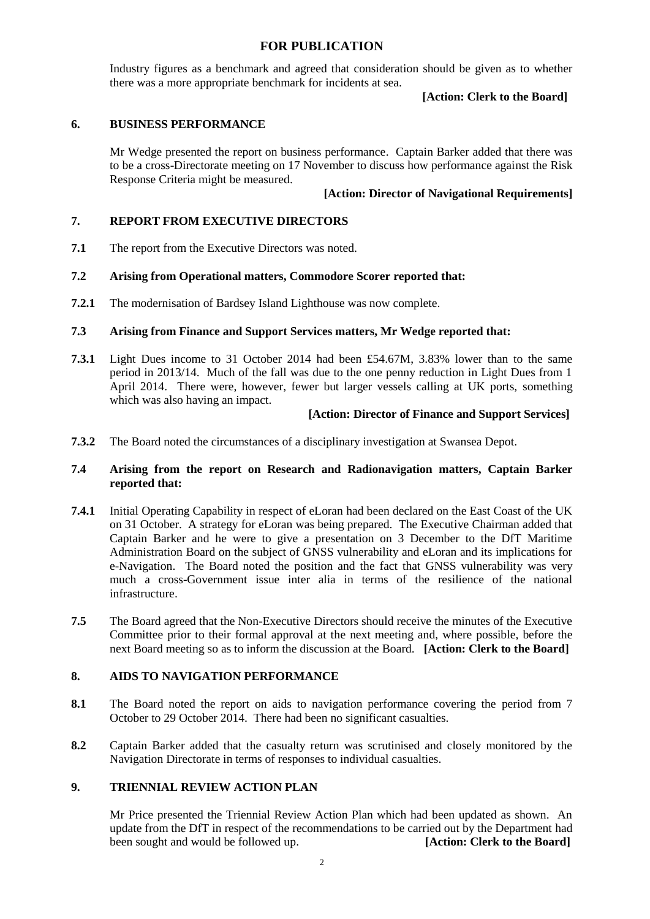Industry figures as a benchmark and agreed that consideration should be given as to whether there was a more appropriate benchmark for incidents at sea.

## **[Action: Clerk to the Board]**

## **6. BUSINESS PERFORMANCE**

Mr Wedge presented the report on business performance. Captain Barker added that there was to be a cross-Directorate meeting on 17 November to discuss how performance against the Risk Response Criteria might be measured.

## **[Action: Director of Navigational Requirements]**

## **7. REPORT FROM EXECUTIVE DIRECTORS**

**7.1** The report from the Executive Directors was noted.

## **7.2 Arising from Operational matters, Commodore Scorer reported that:**

**7.2.1** The modernisation of Bardsey Island Lighthouse was now complete.

## **7.3 Arising from Finance and Support Services matters, Mr Wedge reported that:**

**7.3.1** Light Dues income to 31 October 2014 had been £54.67M, 3.83% lower than to the same period in 2013/14. Much of the fall was due to the one penny reduction in Light Dues from 1 April 2014. There were, however, fewer but larger vessels calling at UK ports, something which was also having an impact.

## **[Action: Director of Finance and Support Services]**

**7.3.2** The Board noted the circumstances of a disciplinary investigation at Swansea Depot.

## **7.4 Arising from the report on Research and Radionavigation matters, Captain Barker reported that:**

- **7.4.1** Initial Operating Capability in respect of eLoran had been declared on the East Coast of the UK on 31 October. A strategy for eLoran was being prepared. The Executive Chairman added that Captain Barker and he were to give a presentation on 3 December to the DfT Maritime Administration Board on the subject of GNSS vulnerability and eLoran and its implications for e-Navigation. The Board noted the position and the fact that GNSS vulnerability was very much a cross-Government issue inter alia in terms of the resilience of the national infrastructure.
- **7.5** The Board agreed that the Non-Executive Directors should receive the minutes of the Executive Committee prior to their formal approval at the next meeting and, where possible, before the next Board meeting so as to inform the discussion at the Board. **[Action: Clerk to the Board]**

### **8. AIDS TO NAVIGATION PERFORMANCE**

- **8.1** The Board noted the report on aids to navigation performance covering the period from 7 October to 29 October 2014. There had been no significant casualties.
- **8.2** Captain Barker added that the casualty return was scrutinised and closely monitored by the Navigation Directorate in terms of responses to individual casualties.

### **9. TRIENNIAL REVIEW ACTION PLAN**

Mr Price presented the Triennial Review Action Plan which had been updated as shown. An update from the DfT in respect of the recommendations to be carried out by the Department had been sought and would be followed up. **[Action: Clerk to the Board]**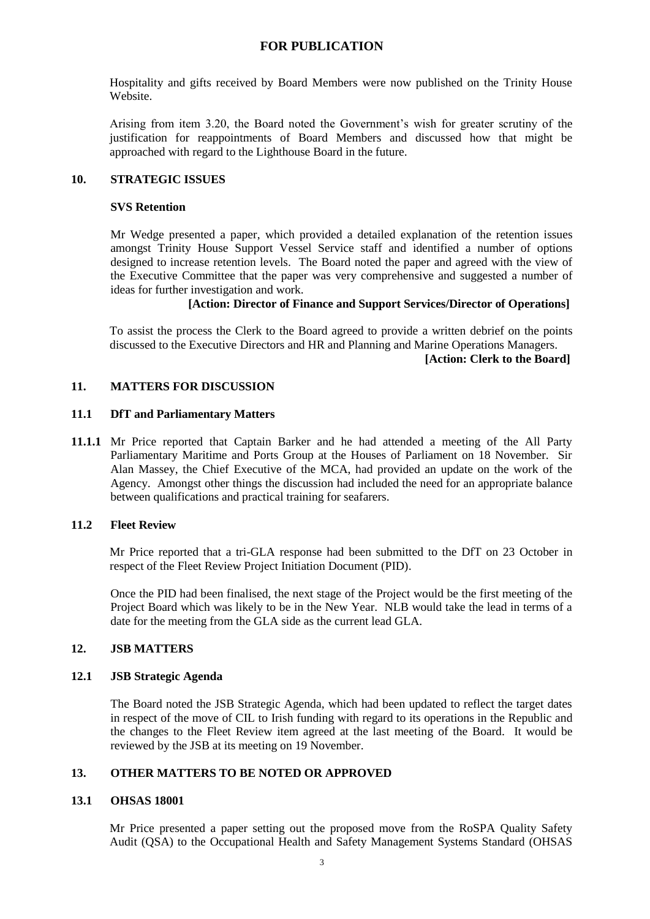Hospitality and gifts received by Board Members were now published on the Trinity House Website.

Arising from item 3.20, the Board noted the Government's wish for greater scrutiny of the justification for reappointments of Board Members and discussed how that might be approached with regard to the Lighthouse Board in the future.

## **10. STRATEGIC ISSUES**

### **SVS Retention**

Mr Wedge presented a paper, which provided a detailed explanation of the retention issues amongst Trinity House Support Vessel Service staff and identified a number of options designed to increase retention levels. The Board noted the paper and agreed with the view of the Executive Committee that the paper was very comprehensive and suggested a number of ideas for further investigation and work.

### **[Action: Director of Finance and Support Services/Director of Operations]**

To assist the process the Clerk to the Board agreed to provide a written debrief on the points discussed to the Executive Directors and HR and Planning and Marine Operations Managers.

### **[Action: Clerk to the Board]**

### **11. MATTERS FOR DISCUSSION**

#### **11.1 DfT and Parliamentary Matters**

**11.1.1** Mr Price reported that Captain Barker and he had attended a meeting of the All Party Parliamentary Maritime and Ports Group at the Houses of Parliament on 18 November. Sir Alan Massey, the Chief Executive of the MCA, had provided an update on the work of the Agency. Amongst other things the discussion had included the need for an appropriate balance between qualifications and practical training for seafarers.

### **11.2 Fleet Review**

Mr Price reported that a tri-GLA response had been submitted to the DfT on 23 October in respect of the Fleet Review Project Initiation Document (PID).

Once the PID had been finalised, the next stage of the Project would be the first meeting of the Project Board which was likely to be in the New Year. NLB would take the lead in terms of a date for the meeting from the GLA side as the current lead GLA.

### **12. JSB MATTERS**

#### **12.1 JSB Strategic Agenda**

The Board noted the JSB Strategic Agenda, which had been updated to reflect the target dates in respect of the move of CIL to Irish funding with regard to its operations in the Republic and the changes to the Fleet Review item agreed at the last meeting of the Board. It would be reviewed by the JSB at its meeting on 19 November.

# **13. OTHER MATTERS TO BE NOTED OR APPROVED**

#### **13.1 OHSAS 18001**

Mr Price presented a paper setting out the proposed move from the RoSPA Quality Safety Audit (QSA) to the Occupational Health and Safety Management Systems Standard (OHSAS